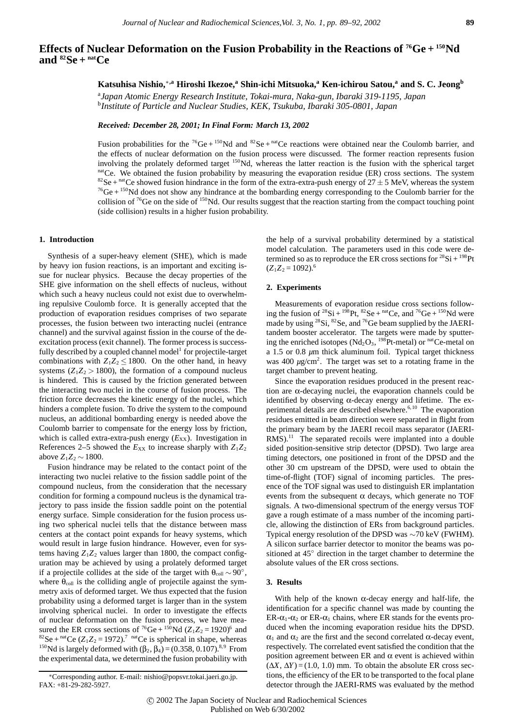# **Effects of Nuclear Deformation on the Fusion Probability in the Reactions of 76Ge + 150Nd** and  ${}^{82}Se + {}^{nat}Ce$

**Katsuhisa Nishio,**∗**,a Hiroshi Ikezoe,<sup>a</sup> Shin-ichi Mitsuoka,a Ken-ichirou Satou,<sup>a</sup> and S. C. Jeong<sup>b</sup>**

a *Japan Atomic Energy Research Institute, Tokai-mura, Naka-gun, Ibaraki 319-1195, Japan* b *Institute of Particle and Nuclear Studies, KEK, Tsukuba, Ibaraki 305-0801, Japan*

*Received: December 28, 2001; In Final Form: March 13, 2002*

Fusion probabilities for the <sup>76</sup>Ge + <sup>150</sup>Nd and <sup>82</sup>Se + <sup>nat</sup>Ce reactions were obtained near the Coulomb barrier, and the effects of nuclear deformation on the fusion process were discussed. The former reaction represents fusion involving the prolately deformed target <sup>150</sup>Nd, whereas the latter reaction is the fusion with the spherical target <sup>nat</sup>Ce. We obtained the fusion probability by measuring the evaporation residue (ER) cross sections. The system <sup>82</sup>Se + <sup>nat</sup>Ce showed fusion hindrance in the form of the extra-extra-push energy of  $27 \pm 5$  MeV, whereas  $^{76}$ Ge +  $^{150}$ Nd does not show any hindrance at the bombarding energy corresponding to the Coulomb barrier for the collision of <sup>76</sup>Ge on the side of <sup>150</sup>Nd. Our results suggest that the reaction starting from the compact touching point (side collision) results in a higher fusion probability.

## **1. Introduction**

Synthesis of a super-heavy element (SHE), which is made by heavy ion fusion reactions, is an important and exciting issue for nuclear physics. Because the decay properties of the SHE give information on the shell effects of nucleus, without which such a heavy nucleus could not exist due to overwhelming repulsive Coulomb force. It is generally accepted that the production of evaporation residues comprises of two separate processes, the fusion between two interacting nuclei (entrance channel) and the survival against fission in the course of the deexcitation process (exit channel). The former process is successfully described by a coupled channel model<sup>1</sup> for projectile-target combinations with  $Z_1Z_2 \le 1800$ . On the other hand, in heavy systems  $(Z_1Z_2 > 1800)$ , the formation of a compound nucleus is hindered. This is caused by the friction generated between the interacting two nuclei in the course of fusion process. The friction force decreases the kinetic energy of the nuclei, which hinders a complete fusion. To drive the system to the compound nucleus, an additional bombarding energy is needed above the Coulomb barrier to compensate for the energy loss by friction, which is called extra-extra-push energy  $(E_{XX})$ . Investigation in References 2–5 showed the  $E_{XX}$  to increase sharply with  $Z_1Z_2$ above *Z*1*Z*<sup>2</sup> ∼ 1800.

Fusion hindrance may be related to the contact point of the interacting two nuclei relative to the fission saddle point of the compound nucleus, from the consideration that the necessary condition for forming a compound nucleus is the dynamical trajectory to pass inside the fission saddle point on the potential energy surface. Simple consideration for the fusion process using two spherical nuclei tells that the distance between mass centers at the contact point expands for heavy systems, which would result in large fusion hindrance. However, even for systems having  $Z_1Z_2$  values larger than 1800, the compact configuration may be achieved by using a prolately deformed target if a projectile collides at the side of the target with  $\theta_{\text{coll}} \sim 90^{\circ}$ , where  $\theta_{\text{coll}}$  is the colliding angle of projectile against the symmetry axis of deformed target. We thus expected that the fusion probability using a deformed target is larger than in the system involving spherical nuclei. In order to investigate the effects of nuclear deformation on the fusion process, we have measured the ER cross sections of <sup>76</sup>Ge + <sup>150</sup>Nd ( $Z_1Z_2$  = 1920)<sup>6</sup> and <sup>82</sup>Se + <sup>nat</sup>Ce ( $Z_1Z_2 = 1972$ ).<sup>7</sup> natCe is spherical in shape, whereas <sup>150</sup>Nd is largely deformed with  $(β<sub>2</sub>, β<sub>4</sub>) = (0.358, 0.107).$ <sup>8,9</sup> From the experimental data, we determined the fusion probability with

the help of a survival probability determined by a statistical model calculation. The parameters used in this code were determined so as to reproduce the ER cross sections for  ${}^{28}\text{Si} + {}^{198}\text{Pt}$  $(Z_1Z_2 = 1092).$ <sup>6</sup>

#### **2. Experiments**

Measurements of evaporation residue cross sections following the fusion of  $^{28}Si + ^{198}Pt$ ,  $^{82}Se + ^{nat}Ce$ , and  $^{76}Ge + ^{150}Nd$  were made by using  $^{28}Si$ ,  $^{82}Se$ , and  $^{76}Ge$  beam supplied by the JAERItandem booster accelerator. The targets were made by sputtering the enriched isotopes ( $Nd_2O_3$ , <sup>198</sup>Pt-metal) or <sup>nat</sup>Ce-metal on a 1.5 or 0.8 *µ*m thick aluminum foil. Typical target thickness was 400  $\mu$ g/cm<sup>2</sup>. The target was set to a rotating frame in the target chamber to prevent heating.

Since the evaporation residues produced in the present reaction are α-decaying nuclei, the evaporation channels could be identified by observing α-decay energy and lifetime. The experimental details are described elsewhere.<sup>6,10</sup> The evaporation residues emitted in beam direction were separated in flight from the primary beam by the JAERI recoil mass separator (JAERI- $RMS$ ).<sup>11</sup> The separated recoils were implanted into a double sided position-sensitive strip detector (DPSD). Two large area timing detectors, one positioned in front of the DPSD and the other 30 cm upstream of the DPSD, were used to obtain the time-of-flight (TOF) signal of incoming particles. The presence of the TOF signal was used to distinguish ER implantation events from the subsequent  $\alpha$  decays, which generate no TOF signals. A two-dimensional spectrum of the energy versus TOF gave a rough estimate of a mass number of the incoming particle, allowing the distinction of ERs from background particles. Typical energy resolution of the DPSD was ∼70 keV (FWHM). A silicon surface barrier detector to monitor the beams was positioned at 45◦ direction in the target chamber to determine the absolute values of the ER cross sections.

### **3. Results**

With help of the known  $\alpha$ -decay energy and half-life, the identification for a specific channel was made by counting the ER- $\alpha_1$ - $\alpha_2$  or ER- $\alpha_1$  chains, where ER stands for the events produced when the incoming evaporation residue hits the DPSD.  $\alpha_1$  and  $\alpha_2$  are the first and the second correlated  $\alpha$ -decay event, respectively. The correlated event satisfied the condition that the position agreement between ER and α event is achieved within  $(\Delta X, \Delta Y) = (1.0, 1.0)$  mm. To obtain the absolute ER cross sections, the efficiency of the ER to be transported to the focal plane detector through the JAERI-RMS was evaluated by the method

<sup>∗</sup>Corresponding author. E-mail: nishio@popsvr.tokai.jaeri.go.jp. FAX: +81-29-282-5927.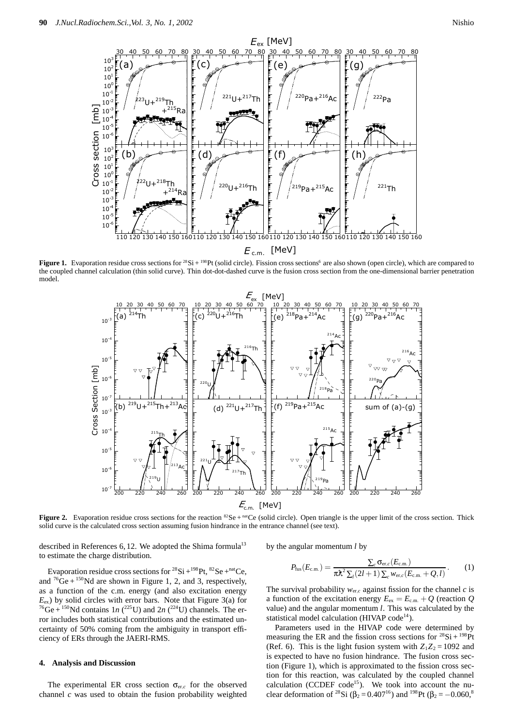

**Figure 1.** Evaporation residue cross sections for <sup>28</sup>Si + <sup>198</sup>Pt (solid circle). Fission cross sections<sup>6</sup> are also shown (open circle), which are compared to the coupled channel calculation (thin solid curve). Thin dot-dot-dashed curve is the fusion cross section from the one-dimensional barrier penetration model.



Figure 2. Evaporation residue cross sections for the reaction <sup>82</sup>Se + <sup>nat</sup>Ce (solid circle). Open triangle is the upper limit of the cross section. Thick solid curve is the calculated cross section assuming fusion hindrance in the entrance channel (see text).

described in References 6, 12. We adopted the Shima formula<sup>13</sup> to estimate the charge distribution.

Evaporation residue cross sections for  $^{28}Si + ^{198}Pt$ ,  $^{82}Se + ^{nat}Ce$ . and  ${}^{76}\text{Ge} + {}^{150}\text{Nd}$  are shown in Figure 1, 2, and 3, respectively, as a function of the c.m. energy (and also excitation energy  $E_{\rm ex}$ ) by solid circles with error bars. Note that Figure 3(a) for <sup>76</sup>Ge + <sup>150</sup>Nd contains 1*n* (<sup>225</sup>U) and 2*n* (<sup>224</sup>U) channels. The error includes both statistical contributions and the estimated uncertainty of 50% coming from the ambiguity in transport efficiency of ERs through the JAERI-RMS.

### **4. Analysis and Discussion**

The experimental ER cross section  $\sigma_{\text{er},c}$  for the observed channel *c* was used to obtain the fusion probability weighted by the angular momentum *l* by

$$
P_{\text{fus}}(E_{\text{c.m.}}) = \frac{\sum_{c} \sigma_{\text{er},c}(E_{\text{c.m.}})}{\pi \lambda^2 \sum_{l} (2l+1) \sum_{c} w_{\text{er},c}(E_{\text{c.m.}} + Q, l)}.
$$
(1)

The survival probability  $w_{\text{er},c}$  against fission for the channel  $c$  is a function of the excitation energy  $E_{\text{ex}} = E_{\text{c.m.}} + Q$  (reaction Q value) and the angular momentum *l*. This was calculated by the statistical model calculation (HIVAP code<sup>14</sup>).

Parameters used in the HIVAP code were determined by measuring the ER and the fission cross sections for  ${}^{28}Si + {}^{198}Pt$ (Ref. 6). This is the light fusion system with  $Z_1Z_2 = 1092$  and is expected to have no fusion hindrance. The fusion cross section (Figure 1), which is approximated to the fission cross section for this reaction, was calculated by the coupled channel calculation (CCDEF code<sup>15</sup>). We took into account the nuclear deformation of <sup>28</sup>Si ( $\beta_2$  = 0.407<sup>16</sup>) and <sup>198</sup>Pt ( $\beta_2$  = -0.060<sup>8</sup>)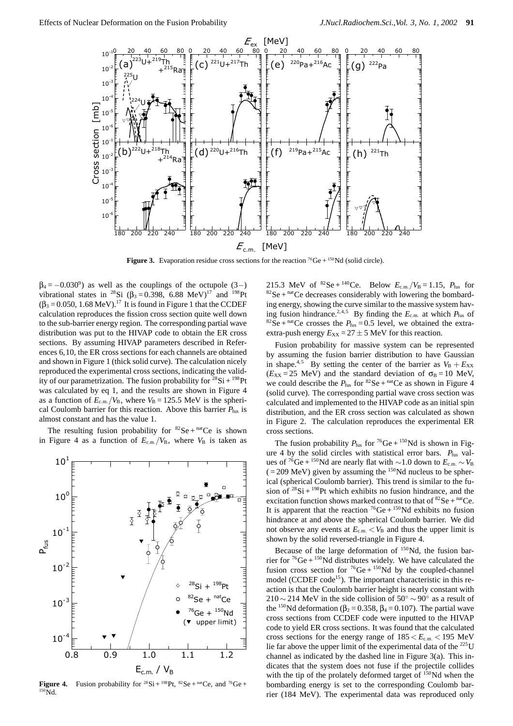

**Figure 3.** Evaporation residue cross sections for the reaction <sup>76</sup>Ge + <sup>150</sup>Nd (solid circle).

 $\beta_4 = -0.030^\circ$ ) as well as the couplings of the octupole  $(3-)$ vibrational states in <sup>28</sup>Si ( $\beta_3 = 0.398$ , 6.88 MeV)<sup>17</sup> and <sup>198</sup>Pt  $(\beta_3 = 0.050, 1.68 \text{ MeV})$ .<sup>17</sup> It is found in Figure 1 that the CCDEF calculation reproduces the fission cross section quite well down to the sub-barrier energy region. The corresponding partial wave distribution was put to the HIVAP code to obtain the ER cross sections. By assuming HIVAP parameters described in References 6,10, the ER cross sections for each channels are obtained and shown in Figure 1 (thick solid curve). The calculation nicely reproduced the experimental cross sections, indicating the validity of our parametrization. The fusion probability for  ${}^{28}Si + {}^{198}Pt$ was calculated by eq 1, and the results are shown in Figure 4 as a function of  $E_{\text{c.m.}}/V_{\text{B}}$ , where  $V_{\text{B}} = 125.5 \text{ MeV}$  is the spherical Coulomb barrier for this reaction. Above this barrier  $P_{\text{fus}}$  is almost constant and has the value 1.

The resulting fusion probability for  ${}^{82}Se + {}^{nat}Ce$  is shown in Figure 4 as a function of  $E_{\rm c.m.}/V_{\rm B}$ , where  $V_{\rm B}$  is taken as



**Figure 4.** Fusion probability for  ${}^{28}\text{Si} + {}^{198}\text{Pt}$ ,  ${}^{82}\text{Se} + {}^{nat}\text{Ce}$ , and  ${}^{76}\text{Ge} + {}^{6}\text{Fe}$  $150\overline{Nd}$ 

215.3 MeV of <sup>82</sup>Se + <sup>140</sup>Ce. Below  $E_{c.m.}/V_B = 1.15$ ,  $P_{fus}$  for  $82$ Se + natCe decreases considerably with lowering the bombarding energy, showing the curve similar to the massive system having fusion hindrance.<sup>2,4,5</sup> By finding the  $E_{c.m.}$  at which  $P_{fus}$  of <sup>82</sup>Se + <sup>nat</sup>Ce crosses the  $P_{\text{fus}} = 0.5$  level, we obtained the extraextra-push energy  $E_{XX} = 27 \pm 5$  MeV for this reaction.

Fusion probability for massive system can be represented by assuming the fusion barrier distribution to have Gaussian in shape.<sup>4,5</sup> By setting the center of the barrier as  $V_B + E_{XX}$  $(E_{XX} = 25 \text{ MeV})$  and the standard deviation of  $\sigma_B = 10 \text{ MeV}$ , we could describe the  $P_{\text{fus}}$  for <sup>82</sup>Se + <sup>nat</sup>Ce as shown in Figure 4 (solid curve). The corresponding partial wave cross section was calculated and implemented to the HIVAP code as an initial spin distribution, and the ER cross section was calculated as shown in Figure 2. The calculation reproduces the experimental ER cross sections.

The fusion probability  $P_{\text{fus}}$  for <sup>76</sup>Ge + <sup>150</sup>Nd is shown in Figure 4 by the solid circles with statistical error bars.  $P_{\text{fus}}$  values of <sup>76</sup>Ge + <sup>150</sup>Nd are nearly flat with ~1.0 down to  $E_{c.m.}$  ~  $V_{B}$  $( = 209 \text{ MeV} )$  given by assuming the <sup>150</sup>Nd nucleus to be spherical (spherical Coulomb barrier). This trend is similar to the fusion of  $28Si + 198Pt$  which exhibits no fusion hindrance, and the excitation function shows marked contrast to that of  ${}^{82}Se + {}^{nat}Ce$ . It is apparent that the reaction  ${}^{76}Ge + {}^{150}Nd$  exhibits no fusion hindrance at and above the spherical Coulomb barrier. We did not observe any events at  $E_{c.m.} < V_B$  and thus the upper limit is shown by the solid reversed-triangle in Figure 4.

Because of the large deformation of  $150$ Nd, the fusion barrier for  ${}^{76}Ge + {}^{150}Nd$  distributes widely. We have calculated the fusion cross section for  ${}^{76}Ge + {}^{150}Nd$  by the coupled-channel model (CCDEF code<sup>15</sup>). The important characteristic in this reaction is that the Coulomb barrier height is nearly constant with  $210 \sim 214$  MeV in the side collision of  $50^{\circ} \sim 90^{\circ}$  as a result of the <sup>150</sup>Nd deformation ( $\beta_2 = 0.358$ ,  $\beta_4 = 0.107$ ). The partial wave cross sections from CCDEF code were inputted to the HIVAP code to yield ER cross sections. It was found that the calculated cross sections for the energy range of  $185 < E_{c.m.} < 195$  MeV lie far above the upper limit of the experimental data of the  $^{225}$ U channel as indicated by the dashed line in Figure 3(a). This indicates that the system does not fuse if the projectile collides with the tip of the prolately deformed target of  $150$ Nd when the bombarding energy is set to the corresponding Coulomb barrier (184 MeV). The experimental data was reproduced only